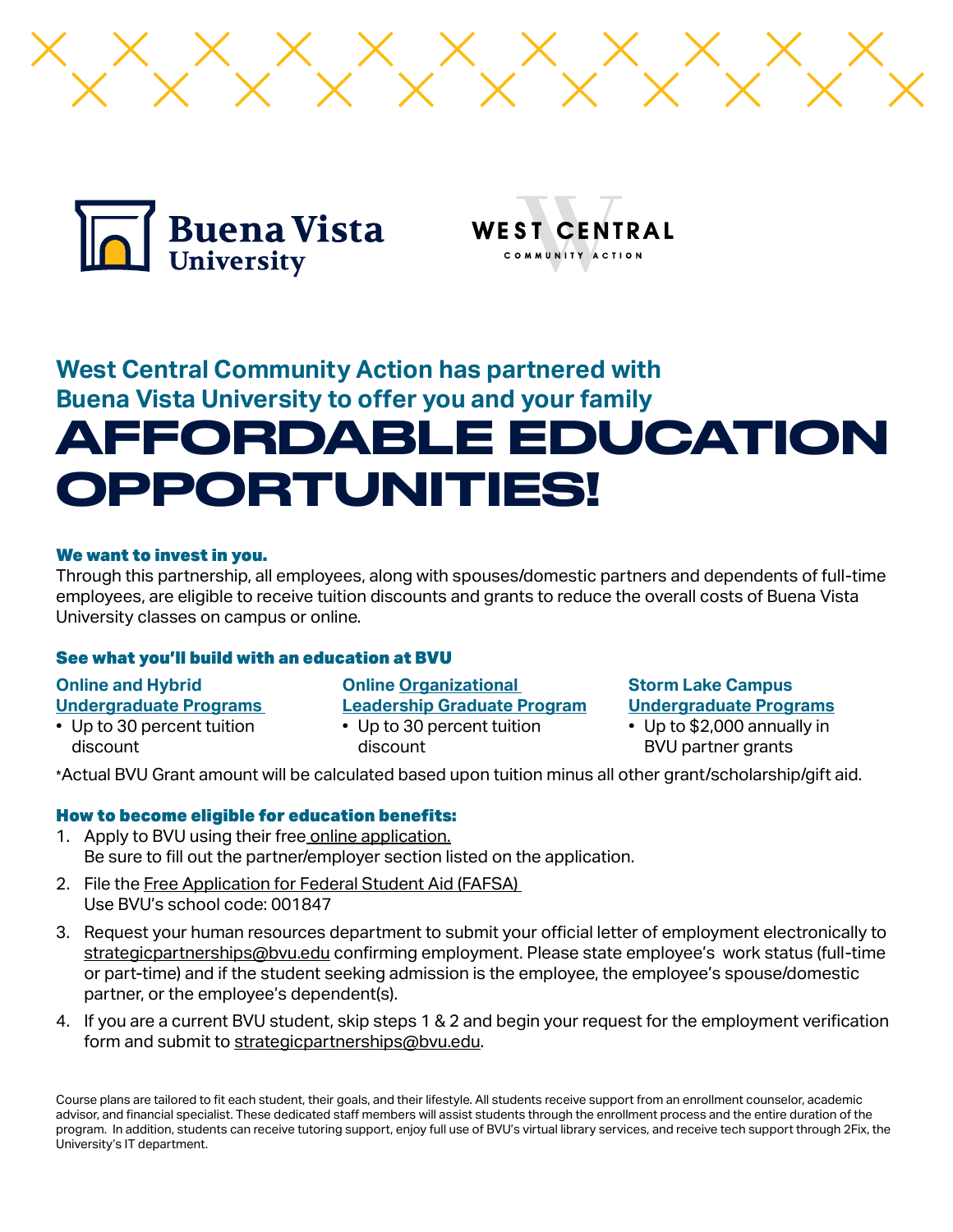



OMMUNITY ACTION

# **West Central Community Action has partnered with Buena Vista University to offer you and your family**  AFFORDABLE EDUCATION OPPORTUNITIES!

### We want to invest in you.

Through this partnership, all employees, along with spouses/domestic partners and dependents of full-time employees, are eligible to receive tuition discounts and grants to reduce the overall costs of Buena Vista University classes on campus or online.

## See what you'll build with an education at BVU

**Online and Hybrid Undergraduate Programs** 

- Up to 30 percent tuition discount
- **Online Organizational Leadership Graduate Program**
- Up to 30 percent tuition discount

## **Storm Lake Campus Undergraduate Programs**

• Up to \$2,000 annually in BVU partner grants

\*Actual BVU Grant amount will be calculated based upon tuition minus all other grant/scholarship/gift aid.

## How to become eligible for education benefits:

- 1. Apply to BVU using their free [online application](https://www.bvu.edu/apply). Be sure to fill out the partner/employer section listed on the application.
- 2. File the [Free Application for Federal Student Aid \(FAFSA\)](https://studentaid.gov/h/apply-for-aid/fafsa)  Use BVU's school code: 001847
- 3. Request your human resources department to submit your official letter of employment electronically to [strategicpartnerships@bvu.edu](mailto:strategicpartnerships%40bvu.edu?subject=) confirming employment. Please state employee's work status (full-time or part-time) and if the student seeking admission is the employee, the employee's spouse/domestic partner, or the employee's dependent(s).
- 4. If you are a current BVU student, skip steps 1 & 2 and begin your request for the employment verification form and submit to [strategicpartnerships@bvu.edu.](mailto:strategicpartnerships%40bvu.edu?subject=)

Course plans are tailored to fit each student, their goals, and their lifestyle. All students receive support from an enrollment counselor, academic advisor, and financial specialist. These dedicated staff members will assist students through the enrollment process and the entire duration of the program. In addition, students can receive tutoring support, enjoy full use of BVU's virtual library services, and receive tech support through 2Fix, the University's IT department.